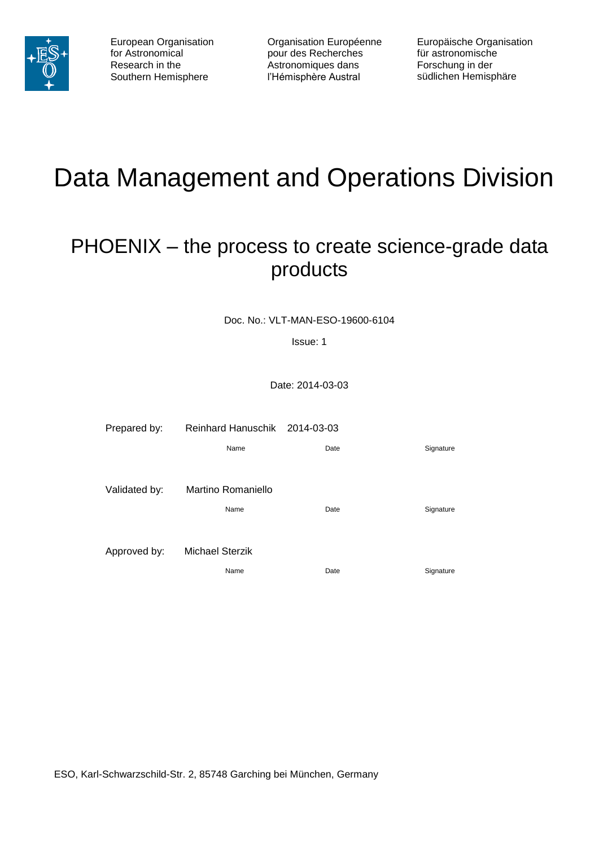

Organisation Européenne pour des Recherches Astronomiques dans l'Hémisphère Austral

Europäische Organisation für astronomische Forschung in der südlichen Hemisphäre

# Data Management and Operations Division

# <span id="page-0-0"></span>PHOENIX – the process to create science-grade data products

Doc. No.: VLT-MAN-ESO-19600-6104

Issue: 1

Date: 2014-03-03

| Prepared by:  | Reinhard Hanuschik 2014-03-03 |      |           |
|---------------|-------------------------------|------|-----------|
|               | Name                          | Date | Signature |
|               |                               |      |           |
| Validated by: | Martino Romaniello            |      |           |
|               | Name                          | Date | Signature |
|               |                               |      |           |
| Approved by:  | <b>Michael Sterzik</b>        |      |           |
|               | Name                          | Date | Signature |

ESO, Karl-Schwarzschild-Str. 2, 85748 Garching bei München, Germany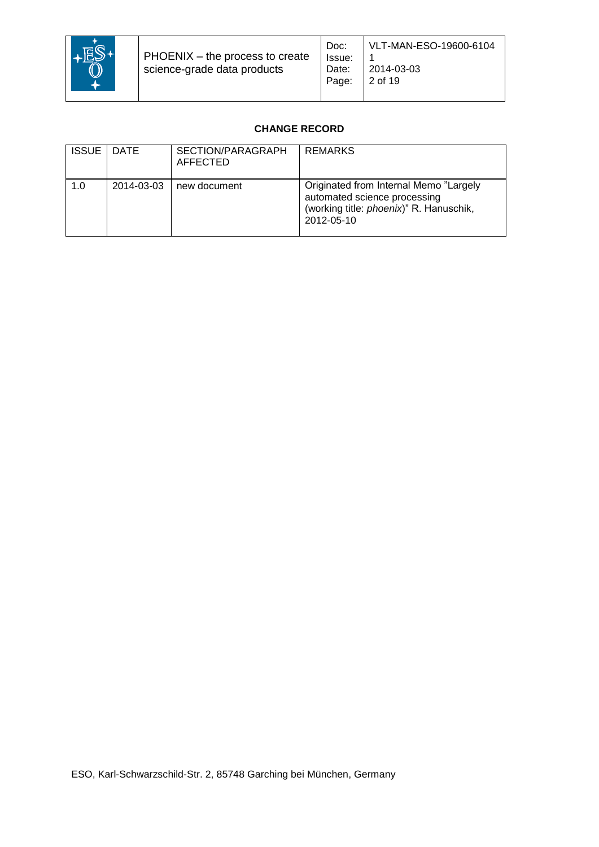

# **CHANGE RECORD**

| <b>ISSUE</b> | DATE       | SECTION/PARAGRAPH<br>AFFECTED | <b>REMARKS</b>                                                                                                                          |
|--------------|------------|-------------------------------|-----------------------------------------------------------------------------------------------------------------------------------------|
| 1.0          | 2014-03-03 | new document                  | Originated from Internal Memo "Largely<br>automated science processing<br>(working title: <i>phoenix</i> )" R. Hanuschik,<br>2012-05-10 |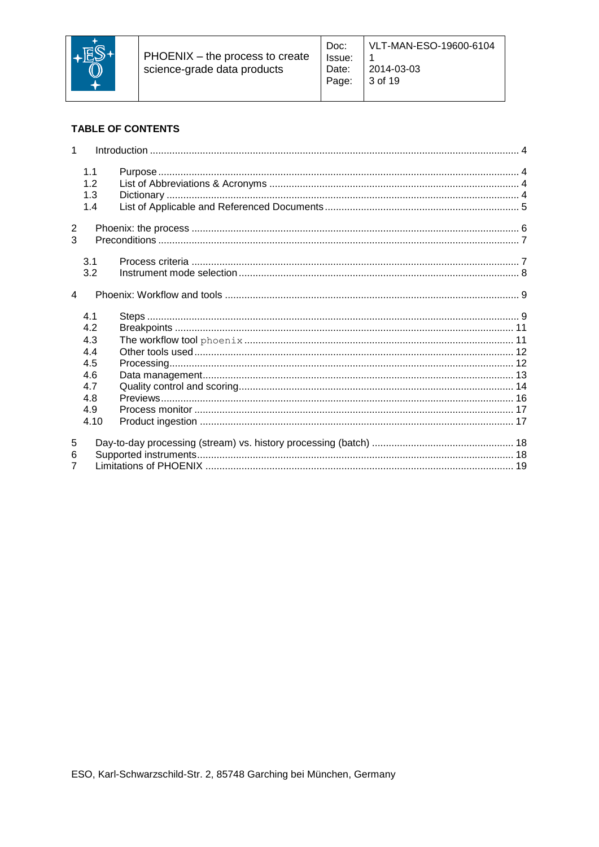

# **TABLE OF CONTENTS**

| $\mathbf 1$    |      |  |
|----------------|------|--|
|                | 1.1  |  |
|                | 1.2  |  |
|                | 1.3  |  |
|                | 1.4  |  |
| $\overline{2}$ |      |  |
| 3              |      |  |
|                | 3.1  |  |
|                | 3.2  |  |
| $\overline{4}$ |      |  |
|                | 4.1  |  |
|                | 4.2  |  |
|                | 4.3  |  |
|                | 4.4  |  |
|                | 4.5  |  |
|                | 4.6  |  |
|                | 4.7  |  |
|                | 4.8  |  |
|                | 4.9  |  |
|                | 4.10 |  |
| 5              |      |  |
| 6              |      |  |
| $\overline{7}$ |      |  |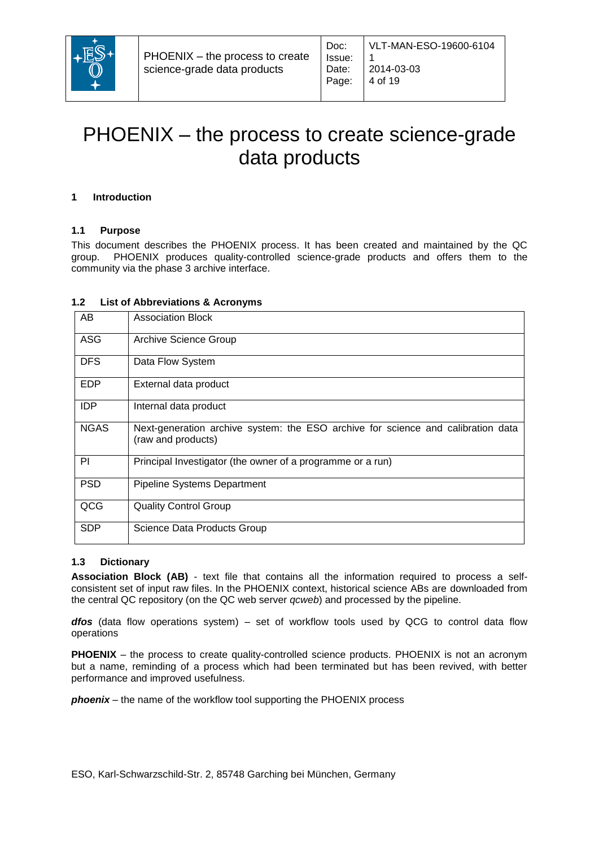

# PHOENIX – [the process to create](#page-0-0) science-grade [data products](#page-0-0)

Doc:

#### <span id="page-3-0"></span>**1 Introduction**

#### <span id="page-3-1"></span>**1.1 Purpose**

This document describes the PHOENIX process. It has been created and maintained by the QC group. PHOENIX produces quality-controlled science-grade products and offers them to the community via the phase 3 archive interface.

#### <span id="page-3-2"></span>**1.2 List of Abbreviations & Acronyms**

| AB          | <b>Association Block</b>                                                                               |
|-------------|--------------------------------------------------------------------------------------------------------|
| <b>ASG</b>  | Archive Science Group                                                                                  |
| <b>DFS</b>  | Data Flow System                                                                                       |
| <b>EDP</b>  | External data product                                                                                  |
| <b>IDP</b>  | Internal data product                                                                                  |
| <b>NGAS</b> | Next-generation archive system: the ESO archive for science and calibration data<br>(raw and products) |
| PI          | Principal Investigator (the owner of a programme or a run)                                             |
| <b>PSD</b>  | <b>Pipeline Systems Department</b>                                                                     |
| QCG         | <b>Quality Control Group</b>                                                                           |
| <b>SDP</b>  | Science Data Products Group                                                                            |

#### <span id="page-3-3"></span>**1.3 Dictionary**

**Association Block (AB)** - text file that contains all the information required to process a selfconsistent set of input raw files. In the PHOENIX context, historical science ABs are downloaded from the central QC repository (on the QC web server *qcweb*) and processed by the pipeline.

dfos (data flow operations system) – set of workflow tools used by QCG to control data flow operations

**PHOENIX** – the process to create quality-controlled science products. PHOENIX is not an acronym but a name, reminding of a process which had been terminated but has been revived, with better performance and improved usefulness.

*phoenix* – the name of the workflow tool supporting the PHOENIX process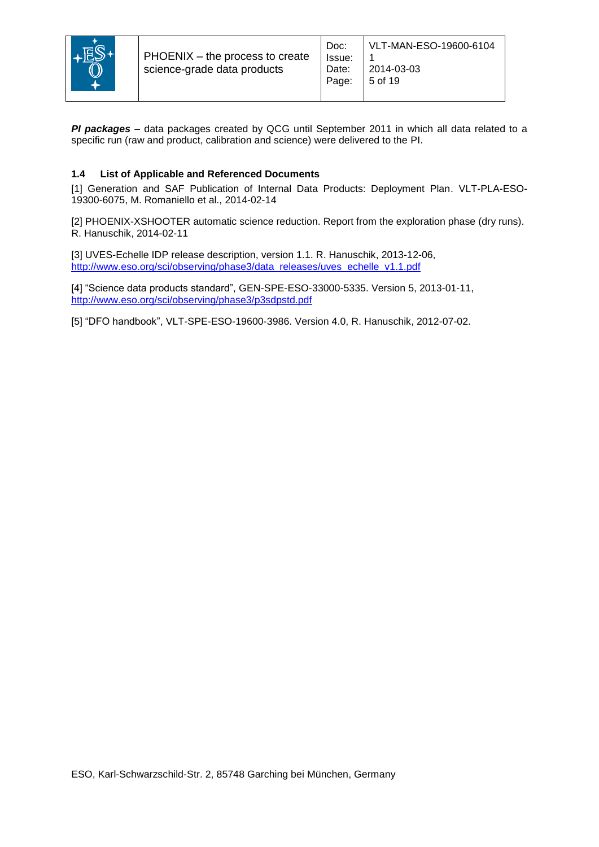

*PI packages* – data packages created by QCG until September 2011 in which all data related to a specific run (raw and product, calibration and science) were delivered to the PI.

# <span id="page-4-0"></span>**1.4 List of Applicable and Referenced Documents**

[1] Generation and SAF Publication of Internal Data Products: Deployment Plan. VLT-PLA-ESO-19300-6075, M. Romaniello et al., 2014-02-14

[2] PHOENIX-XSHOOTER automatic science reduction. Report from the exploration phase (dry runs). R. Hanuschik, 2014-02-11

[3] UVES-Echelle IDP release description, version 1.1. R. Hanuschik, 2013-12-06, [http://www.eso.org/sci/observing/phase3/data\\_releases/uves\\_echelle\\_v1.1.pdf](http://www.eso.org/sci/observing/phase3/data_releases/uves_echelle_v1.1.pdf)

[4] "Science data products standard", GEN-SPE-ESO-33000-5335. Version 5, 2013-01-11, <http://www.eso.org/sci/observing/phase3/p3sdpstd.pdf>

[5] "DFO handbook", VLT-SPE-ESO-19600-3986. Version 4.0, R. Hanuschik, 2012-07-02.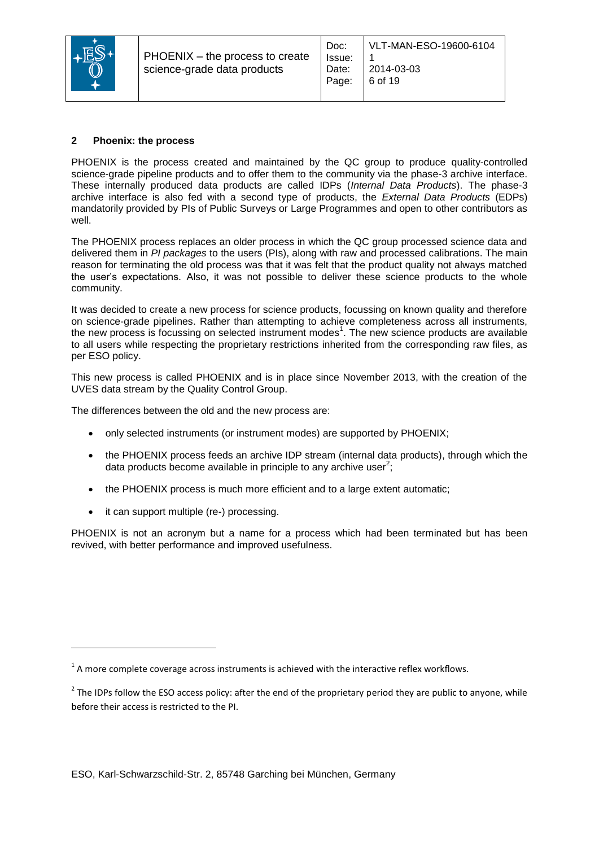

#### <span id="page-5-0"></span>**2 Phoenix: the process**

PHOENIX is the process created and maintained by the QC group to produce quality-controlled science-grade pipeline products and to offer them to the community via the phase-3 archive interface. These internally produced data products are called IDPs (*Internal Data Products*). The phase-3 archive interface is also fed with a second type of products, the *External Data Products* (EDPs) mandatorily provided by PIs of Public Surveys or Large Programmes and open to other contributors as well.

The PHOENIX process replaces an older process in which the QC group processed science data and delivered them in *PI packages* to the users (PIs), along with raw and processed calibrations. The main reason for terminating the old process was that it was felt that the product quality not always matched the user's expectations. Also, it was not possible to deliver these science products to the whole community.

It was decided to create a new process for science products, focussing on known quality and therefore on science-grade pipelines. Rather than attempting to achieve completeness across all instruments, the new process is focussing on selected instrument modes<sup>1</sup>. The new science products are available to all users while respecting the proprietary restrictions inherited from the corresponding raw files, as per ESO policy.

This new process is called PHOENIX and is in place since November 2013, with the creation of the UVES data stream by the Quality Control Group.

The differences between the old and the new process are:

- only selected instruments (or instrument modes) are supported by PHOENIX;
- the PHOENIX process feeds an archive IDP stream (internal data products), through which the data products become available in principle to any archive user<sup>2</sup>;
- the PHOENIX process is much more efficient and to a large extent automatic;
- it can support multiple (re-) processing.

PHOENIX is not an acronym but a name for a process which had been terminated but has been revived, with better performance and improved usefulness.

 $^1$  A more complete coverage across instruments is achieved with the interactive reflex workflows.

 $2$  The IDPs follow the ESO access policy: after the end of the proprietary period they are public to anyone, while before their access is restricted to the PI.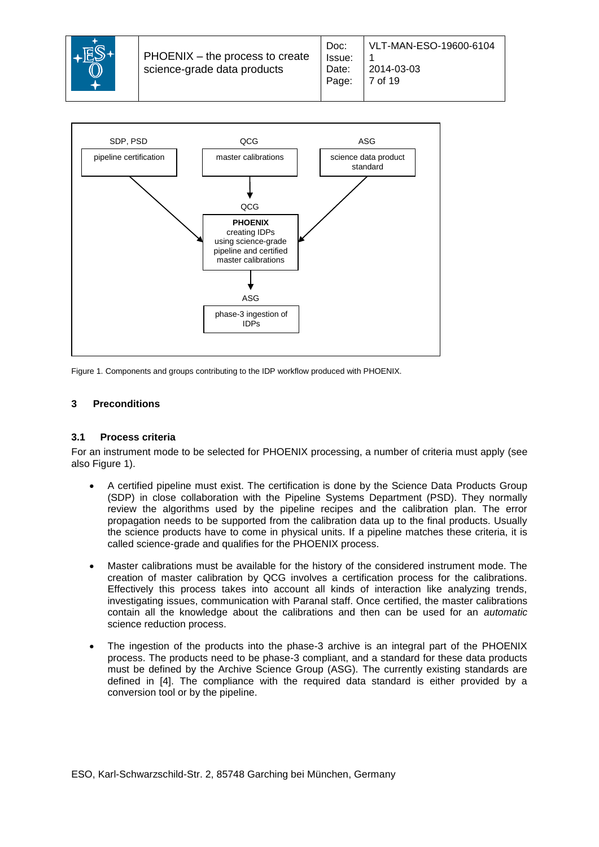



<span id="page-6-2"></span>Figure 1. Components and groups contributing to the IDP workflow produced with PHOENIX.

### <span id="page-6-0"></span>**3 Preconditions**

#### <span id="page-6-1"></span>**3.1 Process criteria**

For an instrument mode to be selected for PHOENIX processing, a number of criteria must apply (see also [Figure 1\)](#page-6-2).

- A certified pipeline must exist. The certification is done by the Science Data Products Group (SDP) in close collaboration with the Pipeline Systems Department (PSD). They normally review the algorithms used by the pipeline recipes and the calibration plan. The error propagation needs to be supported from the calibration data up to the final products. Usually the science products have to come in physical units. If a pipeline matches these criteria, it is called science-grade and qualifies for the PHOENIX process.
- Master calibrations must be available for the history of the considered instrument mode. The creation of master calibration by QCG involves a certification process for the calibrations. Effectively this process takes into account all kinds of interaction like analyzing trends, investigating issues, communication with Paranal staff. Once certified, the master calibrations contain all the knowledge about the calibrations and then can be used for an *automatic* science reduction process.
- The ingestion of the products into the phase-3 archive is an integral part of the PHOENIX process. The products need to be phase-3 compliant, and a standard for these data products must be defined by the Archive Science Group (ASG). The currently existing standards are defined in [4]. The compliance with the required data standard is either provided by a conversion tool or by the pipeline.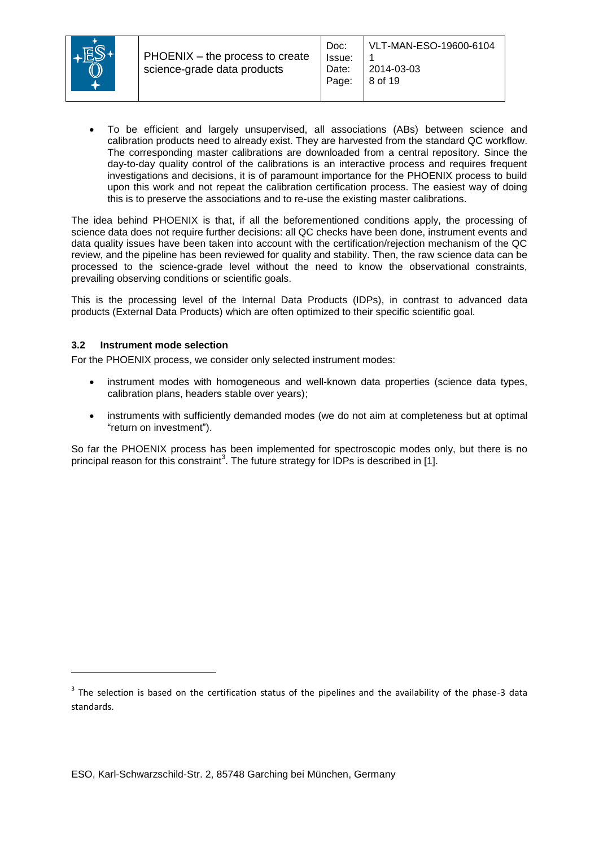

 To be efficient and largely unsupervised, all associations (ABs) between science and calibration products need to already exist. They are harvested from the standard QC workflow. The corresponding master calibrations are downloaded from a central repository. Since the day-to-day quality control of the calibrations is an interactive process and requires frequent investigations and decisions, it is of paramount importance for the PHOENIX process to build upon this work and not repeat the calibration certification process. The easiest way of doing this is to preserve the associations and to re-use the existing master calibrations.

The idea behind PHOENIX is that, if all the beforementioned conditions apply, the processing of science data does not require further decisions: all QC checks have been done, instrument events and data quality issues have been taken into account with the certification/rejection mechanism of the QC review, and the pipeline has been reviewed for quality and stability. Then, the raw science data can be processed to the science-grade level without the need to know the observational constraints, prevailing observing conditions or scientific goals.

This is the processing level of the Internal Data Products (IDPs), in contrast to advanced data products (External Data Products) which are often optimized to their specific scientific goal.

#### <span id="page-7-0"></span>**3.2 Instrument mode selection**

For the PHOENIX process, we consider only selected instrument modes:

- instrument modes with homogeneous and well-known data properties (science data types, calibration plans, headers stable over years);
- instruments with sufficiently demanded modes (we do not aim at completeness but at optimal "return on investment").

So far the PHOENIX process has been implemented for spectroscopic modes only, but there is no principal reason for this constraint<sup>3</sup>. The future strategy for IDPs is described in [1].

 $3$  The selection is based on the certification status of the pipelines and the availability of the phase-3 data standards.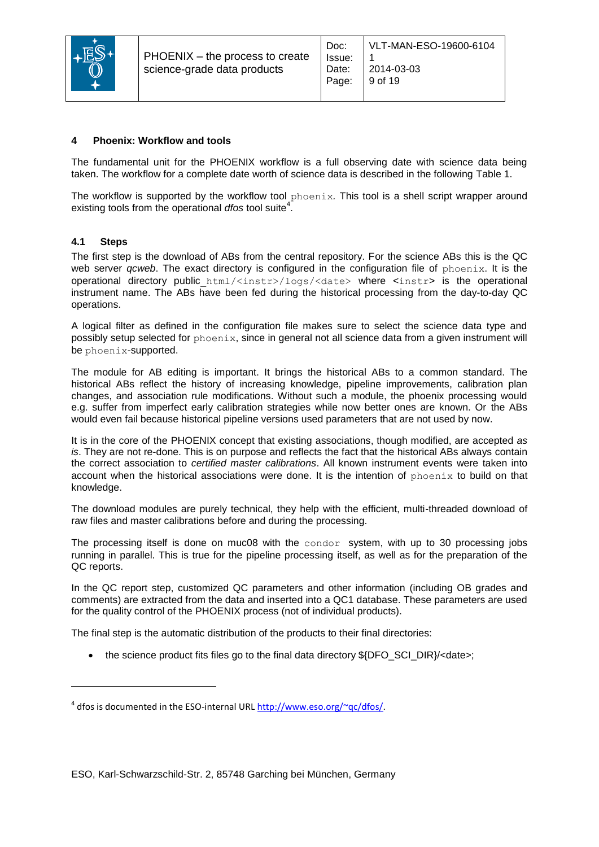

#### <span id="page-8-0"></span>**4 Phoenix: Workflow and tools**

The fundamental unit for the PHOENIX workflow is a full observing date with science data being taken. The workflow for a complete date worth of science data is described in the following [Table 1.](#page-9-0)

The workflow is supported by the workflow tool phoenix*.* This tool is a shell script wrapper around existing tools from the operational *dfos* tool suite<sup>4</sup>.

#### <span id="page-8-1"></span>**4.1 Steps**

l

The first step is the download of ABs from the central repository. For the science ABs this is the QC web server *qcweb*. The exact directory is configured in the configuration file of phoenix. It is the operational directory public\_html/<instr>/logs/<date> where <instr> is the operational instrument name. The ABs have been fed during the historical processing from the day-to-day QC operations.

A logical filter as defined in the configuration file makes sure to select the science data type and possibly setup selected for phoenix, since in general not all science data from a given instrument will be phoenix-supported.

The module for AB editing is important. It brings the historical ABs to a common standard. The historical ABs reflect the history of increasing knowledge, pipeline improvements, calibration plan changes, and association rule modifications. Without such a module, the phoenix processing would e.g. suffer from imperfect early calibration strategies while now better ones are known. Or the ABs would even fail because historical pipeline versions used parameters that are not used by now.

It is in the core of the PHOENIX concept that existing associations, though modified, are accepted *as is*. They are not re-done. This is on purpose and reflects the fact that the historical ABs always contain the correct association to *certified master calibrations*. All known instrument events were taken into account when the historical associations were done. It is the intention of  $phoenix$  to build on that knowledge.

The download modules are purely technical, they help with the efficient, multi-threaded download of raw files and master calibrations before and during the processing.

The processing itself is done on muc08 with the condor system, with up to 30 processing jobs running in parallel. This is true for the pipeline processing itself, as well as for the preparation of the QC reports.

In the QC report step, customized QC parameters and other information (including OB grades and comments) are extracted from the data and inserted into a QC1 database. These parameters are used for the quality control of the PHOENIX process (not of individual products).

The final step is the automatic distribution of the products to their final directories:

• the science product fits files go to the final data directory \${DFO\_SCI\_DIR}/<date>;

<sup>&</sup>lt;sup>4</sup> dfos is documented in the ESO-internal URL [http://www.eso.org/~qc/dfos/.](http://www.eso.org/~qc/dfos/)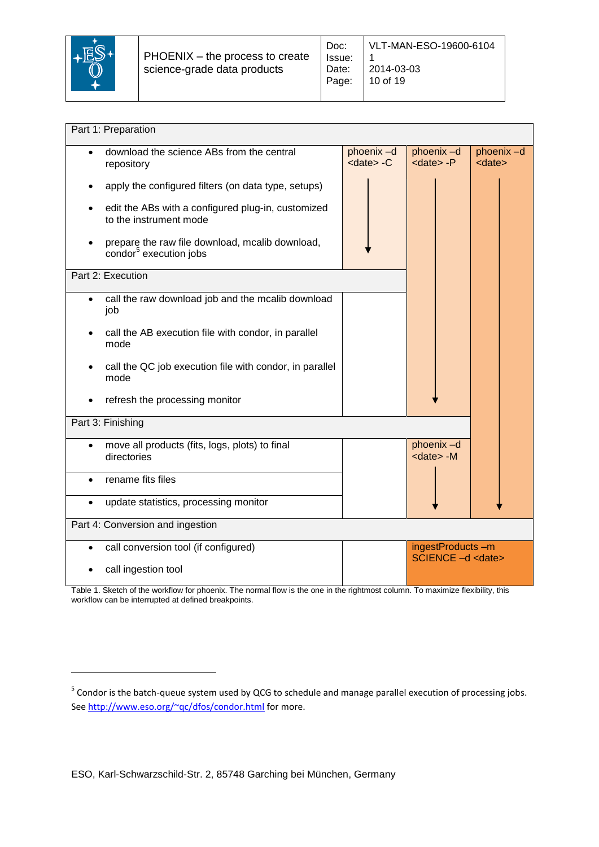

| Part 1: Preparation                                                                   |                                         |                               |                            |  |  |  |  |  |  |
|---------------------------------------------------------------------------------------|-----------------------------------------|-------------------------------|----------------------------|--|--|--|--|--|--|
|                                                                                       |                                         |                               |                            |  |  |  |  |  |  |
| download the science ABs from the central<br>$\bullet$<br>repository                  | phoenix-d<br>$<$ date $>$ -C            | phoenix-d<br><date> -P</date> | phoenix-d<br><date></date> |  |  |  |  |  |  |
| apply the configured filters (on data type, setups)                                   |                                         |                               |                            |  |  |  |  |  |  |
| edit the ABs with a configured plug-in, customized<br>to the instrument mode          |                                         |                               |                            |  |  |  |  |  |  |
| prepare the raw file download, mcalib download,<br>condor <sup>5</sup> execution jobs |                                         |                               |                            |  |  |  |  |  |  |
| Part 2: Execution                                                                     |                                         |                               |                            |  |  |  |  |  |  |
| call the raw download job and the mcalib download<br>job                              |                                         |                               |                            |  |  |  |  |  |  |
| call the AB execution file with condor, in parallel<br>mode                           |                                         |                               |                            |  |  |  |  |  |  |
| call the QC job execution file with condor, in parallel<br>mode                       |                                         |                               |                            |  |  |  |  |  |  |
| refresh the processing monitor                                                        |                                         |                               |                            |  |  |  |  |  |  |
| Part 3: Finishing                                                                     |                                         |                               |                            |  |  |  |  |  |  |
| move all products (fits, logs, plots) to final<br>$\bullet$<br>directories            |                                         |                               |                            |  |  |  |  |  |  |
| rename fits files                                                                     |                                         |                               |                            |  |  |  |  |  |  |
| update statistics, processing monitor<br>$\bullet$                                    |                                         |                               |                            |  |  |  |  |  |  |
| Part 4: Conversion and ingestion                                                      |                                         |                               |                            |  |  |  |  |  |  |
| call conversion tool (if configured)<br>$\bullet$                                     | ingestProducts-m<br>SCIENCE - d < date> |                               |                            |  |  |  |  |  |  |
| call ingestion tool                                                                   |                                         |                               |                            |  |  |  |  |  |  |

<span id="page-9-0"></span>Table 1. Sketch of the workflow for phoenix. The normal flow is the one in the rightmost column. To maximize flexibility, this workflow can be interrupted at defined breakpoints.

<sup>&</sup>lt;sup>5</sup> Condor is the batch-queue system used by QCG to schedule and manage parallel execution of processing jobs. Se[e http://www.eso.org/~qc/dfos/condor.html](http://www.eso.org/~qc/dfos/condor.html) for more.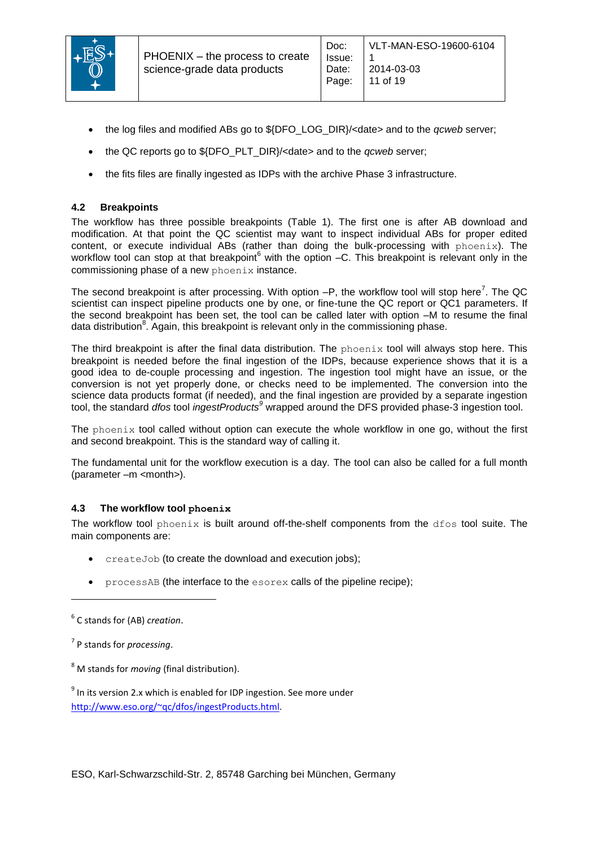

- the log files and modified ABs go to \${DFO\_LOG\_DIR}/<date> and to the *gcweb* server;
- the QC reports go to \${DFO\_PLT\_DIR}/<date> and to the *qcweb* server;
- the fits files are finally ingested as IDPs with the archive Phase 3 infrastructure.

#### <span id="page-10-0"></span>**4.2 Breakpoints**

The workflow has three possible breakpoints [\(Table 1\)](#page-9-0). The first one is after AB download and modification. At that point the QC scientist may want to inspect individual ABs for proper edited content, or execute individual ABs (rather than doing the bulk-processing with phoenix). The workflow tool can stop at that breakpoint $<sup>6</sup>$  with the option  $-C$ . This breakpoint is relevant only in the</sup> commissioning phase of a new phoenix instance.

The second breakpoint is after processing. With option  $-P$ , the workflow tool will stop here<sup>7</sup>. The QC scientist can inspect pipeline products one by one, or fine-tune the QC report or QC1 parameters. If the second breakpoint has been set, the tool can be called later with option –M to resume the final data distribution<sup>8</sup>. Again, this breakpoint is relevant only in the commissioning phase.

The third breakpoint is after the final data distribution. The phoenix tool will always stop here. This breakpoint is needed before the final ingestion of the IDPs, because experience shows that it is a good idea to de-couple processing and ingestion. The ingestion tool might have an issue, or the conversion is not yet properly done, or checks need to be implemented. The conversion into the science data products format (if needed), and the final ingestion are provided by a separate ingestion tool, the standard *dfos* tool *ingestProducts<sup>9</sup>* wrapped around the DFS provided phase-3 ingestion tool.

The phoenix tool called without option can execute the whole workflow in one go, without the first and second breakpoint. This is the standard way of calling it.

The fundamental unit for the workflow execution is a day. The tool can also be called for a full month (parameter –m <month>).

#### <span id="page-10-1"></span>**4.3 The workflow tool phoenix**

The workflow tool phoenix is built around off-the-shelf components from the  $dfos$  tool suite. The main components are:

- createJob (to create the download and execution jobs);
- processAB (the interface to the esorex calls of the pipeline recipe);

l

<sup>8</sup> M stands for *moving* (final distribution).

 $9$  In its version 2.x which is enabled for IDP ingestion. See more under [http://www.eso.org/~qc/dfos/ingestProducts.html.](http://www.eso.org/~qc/dfos/ingestProducts.html)

<sup>6</sup> C stands for (AB) *creation*.

<sup>7</sup> P stands for *processing*.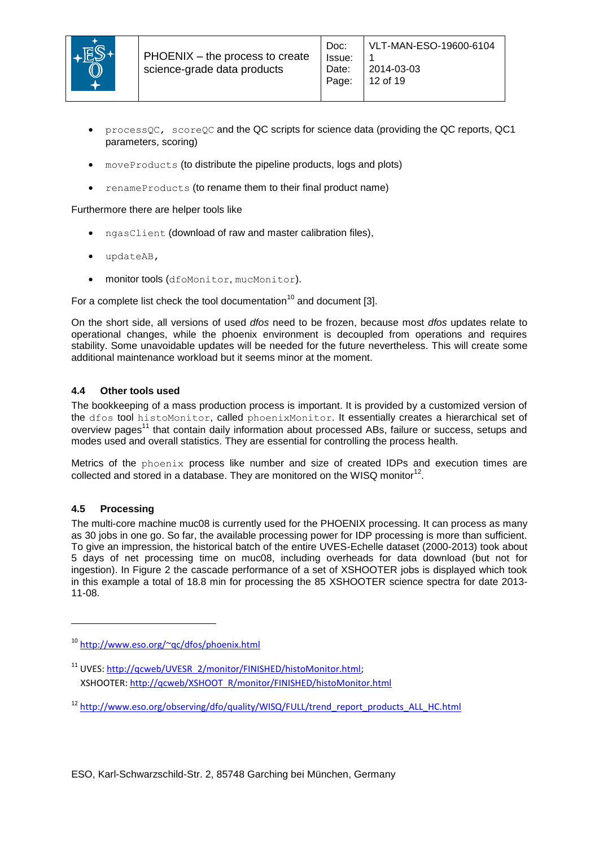

 processQC, scoreQC and the QC scripts for science data (providing the QC reports, QC1 parameters, scoring)

Doc:

- moveProducts (to distribute the pipeline products, logs and plots)
- renameProducts (to rename them to their final product name)

Furthermore there are helper tools like

- ngasClient (download of raw and master calibration files),
- updateAB,
- monitor tools (dfoMonitor, mucMonitor).

For a complete list check the tool documentation<sup>10</sup> and document [3].

On the short side, all versions of used *dfos* need to be frozen, because most *dfos* updates relate to operational changes, while the phoenix environment is decoupled from operations and requires stability. Some unavoidable updates will be needed for the future nevertheless. This will create some additional maintenance workload but it seems minor at the moment.

#### <span id="page-11-0"></span>**4.4 Other tools used**

The bookkeeping of a mass production process is important. It is provided by a customized version of the dfos tool histoMonitor, called phoenixMonitor. It essentially creates a hierarchical set of overview pages<sup>11</sup> that contain daily information about processed ABs, failure or success, setups and modes used and overall statistics. They are essential for controlling the process health.

Metrics of the phoenix process like number and size of created IDPs and execution times are collected and stored in a database. They are monitored on the WISQ monitor<sup>12</sup>.

#### <span id="page-11-1"></span>**4.5 Processing**

l

The multi-core machine muc08 is currently used for the PHOENIX processing. It can process as many as 30 jobs in one go. So far, the available processing power for IDP processing is more than sufficient. To give an impression, the historical batch of the entire UVES-Echelle dataset (2000-2013) took about 5 days of net processing time on muc08, including overheads for data download (but not for ingestion). In [Figure 2](#page-12-1) the cascade performance of a set of XSHOOTER jobs is displayed which took in this example a total of 18.8 min for processing the 85 XSHOOTER science spectra for date 2013- 11-08.

<sup>10</sup> <http://www.eso.org/~qc/dfos/phoenix.html>

<sup>&</sup>lt;sup>11</sup> UVES: http://gcweb/UVESR\_2/monitor/FINISHED/histoMonitor.html; XSHOOTER[: http://qcweb/XSHOOT\\_R/monitor/FINISHED/histoMonitor.html](http://qcweb/XSHOOT_R/monitor/FINISHED/histoMonitor.html)

<sup>&</sup>lt;sup>12</sup> [http://www.eso.org/observing/dfo/quality/WISQ/FULL/trend\\_report\\_products\\_ALL\\_HC.html](http://www.eso.org/observing/dfo/quality/WISQ/FULL/trend_report_products_ALL_HC.html)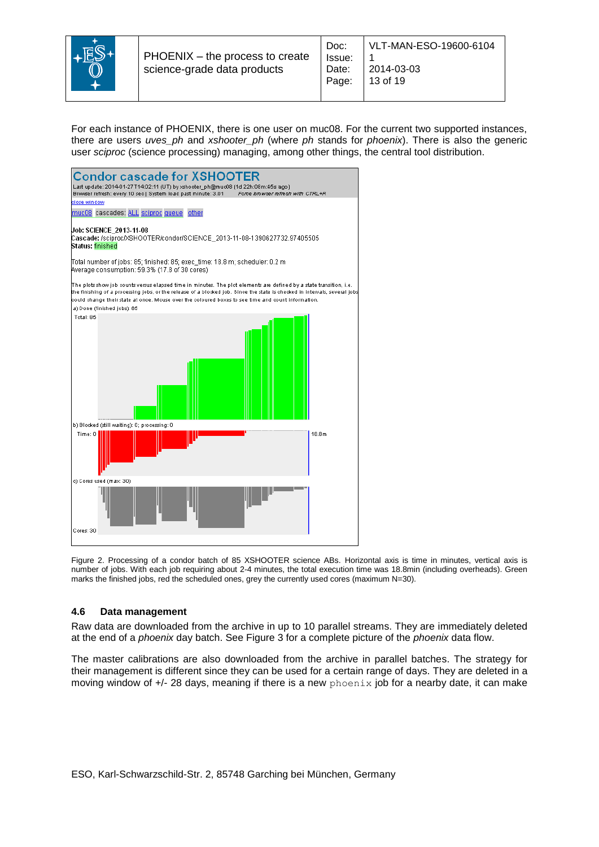

For each instance of PHOENIX, there is one user on muc08. For the current two supported instances, there are users *uves\_ph* and *xshooter\_ph* (where *ph* stands for *phoenix*). There is also the generic user *sciproc* (science processing) managing, among other things, the central tool distribution.



<span id="page-12-1"></span>Figure 2. Processing of a condor batch of 85 XSHOOTER science ABs. Horizontal axis is time in minutes, vertical axis is number of jobs. With each job requiring about 2-4 minutes, the total execution time was 18.8min (including overheads). Green marks the finished jobs, red the scheduled ones, grey the currently used cores (maximum N=30).

#### <span id="page-12-0"></span>**4.6 Data management**

Raw data are downloaded from the archive in up to 10 parallel streams. They are immediately deleted at the end of a *phoenix* day batch. See [Figure 3](#page-13-1) for a complete picture of the *phoenix* data flow.

The master calibrations are also downloaded from the archive in parallel batches. The strategy for their management is different since they can be used for a certain range of days. They are deleted in a moving window of  $+/-$  28 days, meaning if there is a new  $phoenix$  job for a nearby date, it can make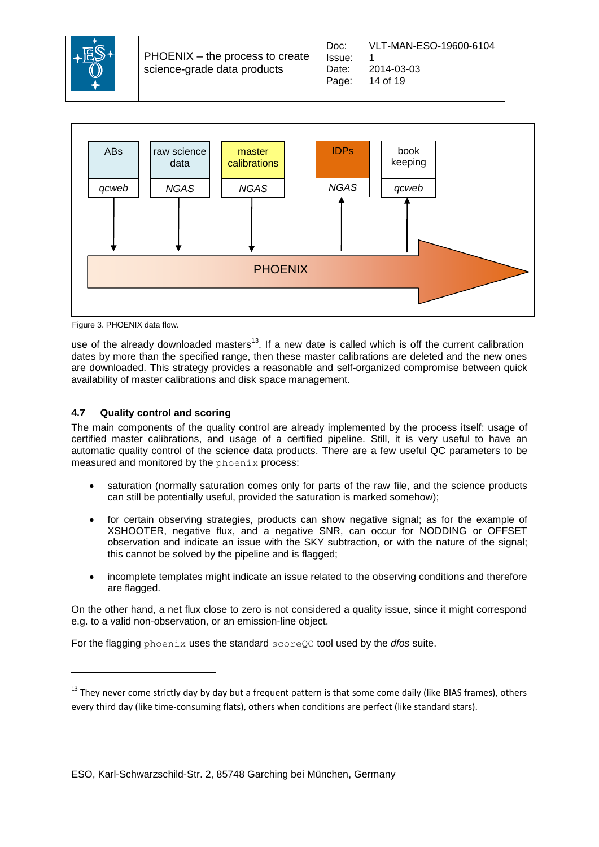



<span id="page-13-1"></span>Figure 3. PHOENIX data flow.

use of the already downloaded masters<sup>13</sup>. If a new date is called which is off the current calibration dates by more than the specified range, then these master calibrations are deleted and the new ones are downloaded. This strategy provides a reasonable and self-organized compromise between quick availability of master calibrations and disk space management.

# <span id="page-13-0"></span>**4.7 Quality control and scoring**

The main components of the quality control are already implemented by the process itself: usage of certified master calibrations, and usage of a certified pipeline. Still, it is very useful to have an automatic quality control of the science data products. There are a few useful QC parameters to be measured and monitored by the phoenix process:

- saturation (normally saturation comes only for parts of the raw file, and the science products can still be potentially useful, provided the saturation is marked somehow);
- for certain observing strategies, products can show negative signal; as for the example of XSHOOTER, negative flux, and a negative SNR, can occur for NODDING or OFFSET observation and indicate an issue with the SKY subtraction, or with the nature of the signal; this cannot be solved by the pipeline and is flagged;
- incomplete templates might indicate an issue related to the observing conditions and therefore are flagged.

On the other hand, a net flux close to zero is not considered a quality issue, since it might correspond e.g. to a valid non-observation, or an emission-line object.

For the flagging phoenix uses the standard scoreQC tool used by the *dfos* suite.

<sup>&</sup>lt;sup>13</sup> They never come strictly day by day but a frequent pattern is that some come daily (like BIAS frames), others every third day (like time-consuming flats), others when conditions are perfect (like standard stars).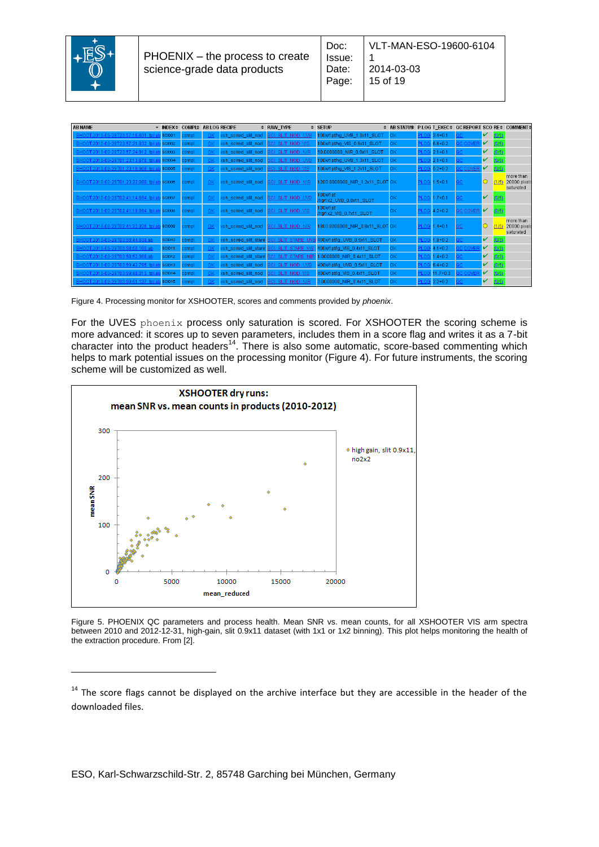

| <b>AB NAME</b>                              |               | ▼ INDEX≑ COMPL≙ AB LOG RECIPE |    |                       | # RAW TYPE              | $\div$ SETUP                        | ♦ AB STATUS P LOG T EXEC+ QC REPORT SCO RE+ COMMENT+ |      |              |                |   |       |                                        |
|---------------------------------------------|---------------|-------------------------------|----|-----------------------|-------------------------|-------------------------------------|------------------------------------------------------|------|--------------|----------------|---|-------|----------------------------------------|
| 0-03-28T23:57:16.631 to                     | <b>SCI001</b> | compl.                        |    | xsh_scired_slit_nod   | BOI SLIT NOD UVE        | 100k/1pt/hg_UVB_1.0x11_SLOT         | <b>OK</b>                                            |      | $3.4 + 0.1$  |                | v | (0/5) |                                        |
| 3HOOT.2010-03-28T23:57:21.832 tpl           | <b>SCI002</b> | compl.                        |    | xsh_scired_slit_nod   | <b>SCI SLIT NOD VIS</b> | 100k/1pt/hg_VIS_0.9x11_SLOT         | <b>OK</b>                                            |      | $6.6 + 0.2$  | : COVE         | v | (0/5) |                                        |
| SHOOT.2010-03-28T23:57:24.912 tol.          | <b>SCI003</b> | compl.                        |    | xsh_scired_slit_nod   | BOI SLIT NOD NIR        | 50.0000000_NIR_0.9x11_SLOT          | <b>OK</b>                                            |      | $2.1 + 0.1$  |                | v | (0/5) |                                        |
| SHOOT.2010-03-29T01:23:13.678 tr            | <b>SCI004</b> | compl.                        |    | xsh_scired_slit_nod   | BOI SLIT NOD UVB        | 100k/1pt/hg_UVB_1.3x11_SLOT         | <b>IOK</b>                                           |      | $2.1 + 0.1$  |                | v | (0/5) |                                        |
| SHOOT.2010-03-29T01:23:18.908 tpl.          | <b>SCI005</b> | compl.                        |    | xsh_scired_slit_nod   | SCI SLIT NOD VIS        | 100k/1pt/hg_VIS_1.2x11_SLOT         | <b>OK</b>                                            |      | $5.2 + 0.2$  | <b>C COVER</b> | v | (0/5) |                                        |
| SHOOT.2010-03-29T01:23:22.080 tpl.ab SCI006 |               | compl.                        | 0K | xsh_scired_slit_nod   | <b>SCI SLIT NOD NIR</b> | 1200.0000000_NIR_1.2x11_SLOT OK     |                                                      |      | PLOG 1.5+0.1 |                |   | (1/5) | more than<br>20000 pixels<br>saturated |
| SHOOT.2010-03-29T02:41:14.694 tpl.a         | SCI007        | compl.                        |    | xsh_scired_slit_nod   | <b>SCI SLIT NOD UVB</b> | 100k/1pt<br>/hg/1x2_UVB_0.8x11_SLOT | OK                                                   | ס וי | $1.7 + 0.1$  |                | v |       |                                        |
| SHOOT.2010-03-29T02:41:19.894_tpl.a         | <b>SCI008</b> | compl.                        |    | xsh_scired_slit_nod   | <b>SCI SLIT NOD VIS</b> | 100k/1pt<br>/hg/1x2_VIS_0.7x11_SLOT | OK                                                   |      | $4.2 + 0.2$  | QC COVER       | v |       |                                        |
| SHOOT.2010-03-29T02:41:22.926 tpl.ab SCI009 |               | compl.                        | 0K | xsh_scired_slit_nod   | <b>SCI SLIT NOD NIR</b> | 1800.0000000_NIR_0.6x11_SLOT OK     |                                                      |      | PLOG 1.4+0.1 | QC             |   | (1/5  | more than<br>20000 pixels<br>saturated |
| SHOOT.2010-03-29T03:58:44.839.ab            | <b>SCI010</b> | compl.                        |    | xsh_scired_slit_stare | SCI SLIT STARE U'       | 400k/1pt/lg_UVB_0.5x11_SLOT         | 0K                                                   |      | $1.9 + 0.2$  |                | v | (0/3) |                                        |
| SHOOT.2010-03-29T03:58:50.100.ab            | <b>SCI011</b> | compl.                        |    | xsh_scired_slit_stare | SCI SLIT STARE V        | 400k/1pt/lg_VIS_0.4x11_SLOT         | <b>OK</b>                                            |      | $4.1 + 0.2$  |                | v | (0/3) |                                        |
| SHOOT 2010-03-29T03:68:62.908.al            | <b>SCI012</b> | compl.                        |    | xsh_scired_slit_stare | BOI SLIT STARE N        | 1.0000000_NIR_0.4x11_SLOT           | 0K                                                   |      | $1.4 + 0.2$  |                | v | (0/3) |                                        |
| SHOOT.2010-03-29T03:59:42.795 tol           | <b>SCI013</b> | compl.                        |    | xsh_scired_slit_nod   | BOI SLIT NOD UVB        | 400k/1pt/lg_UVB_0.5x11_SLOT         | <b>OK</b>                                            |      | $6.4 + 0.2$  |                | v | (0/5) |                                        |
|                                             | <b>SCI014</b> | compl.                        |    | xsh_scired_slit_nod   | BOI SLIT NOD VIS        | 400k/1pt/lq VIS 0.4x11 SLOT         | 0K                                                   |      | $11.7 + 0.3$ |                | v | (0/5) |                                        |
| SHOOT.2010-03-29T03:59:51.137 tol.          | <b>SCI015</b> | compl.                        |    | xsh_scired_slit_nod   | SCI SLIT NOD NIR        | 2.0000000 NIR 0.4x11 SLOT           | 0K                                                   |      | $2.2 + 0.2$  |                | v | (0/5) |                                        |

<span id="page-14-0"></span>Figure 4. Processing monitor for XSHOOTER, scores and comments provided by *phoenix*.

For the UVES phoenix process only saturation is scored. For XSHOOTER the scoring scheme is more advanced: it scores up to seven parameters, includes them in a score flag and writes it as a 7-bit character into the product headers<sup>14</sup>. There is also some automatic, score-based commenting which helps to mark potential issues on the processing monitor [\(Figure 4\)](#page-14-0). For future instruments, the scoring scheme will be customized as well.



<span id="page-14-1"></span>Figure 5. PHOENIX QC parameters and process health. Mean SNR vs. mean counts, for all XSHOOTER VIS arm spectra between 2010 and 2012-12-31, high-gain, slit 0.9x11 dataset (with 1x1 or 1x2 binning). This plot helps monitoring the health of the extraction procedure. From [2].

<sup>&</sup>lt;sup>14</sup> The score flags cannot be displayed on the archive interface but they are accessible in the header of the downloaded files.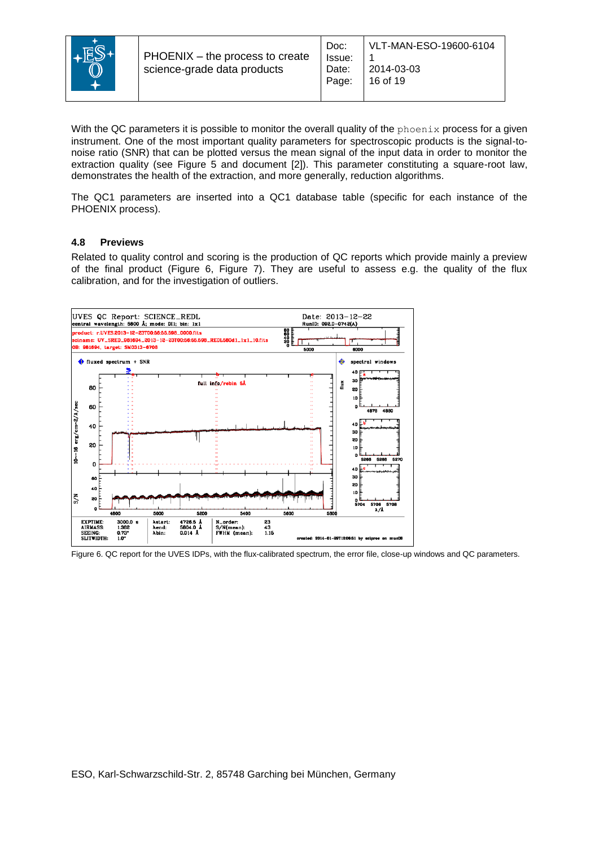

With the QC parameters it is possible to monitor the overall quality of the phoenix process for a given instrument. One of the most important quality parameters for spectroscopic products is the signal-tonoise ratio (SNR) that can be plotted versus the mean signal of the input data in order to monitor the extraction quality (see [Figure 5](#page-14-1) and document [2]). This parameter constituting a square-root law, demonstrates the health of the extraction, and more generally, reduction algorithms.

The QC1 parameters are inserted into a QC1 database table (specific for each instance of the PHOENIX process).

#### <span id="page-15-0"></span>**4.8 Previews**

Related to quality control and scoring is the production of QC reports which provide mainly a preview of the final product [\(Figure 6,](#page-15-1) [Figure 7\)](#page-16-2). They are useful to assess e.g. the quality of the flux calibration, and for the investigation of outliers.



<span id="page-15-1"></span>Figure 6. QC report for the UVES IDPs, with the flux-calibrated spectrum, the error file, close-up windows and QC parameters.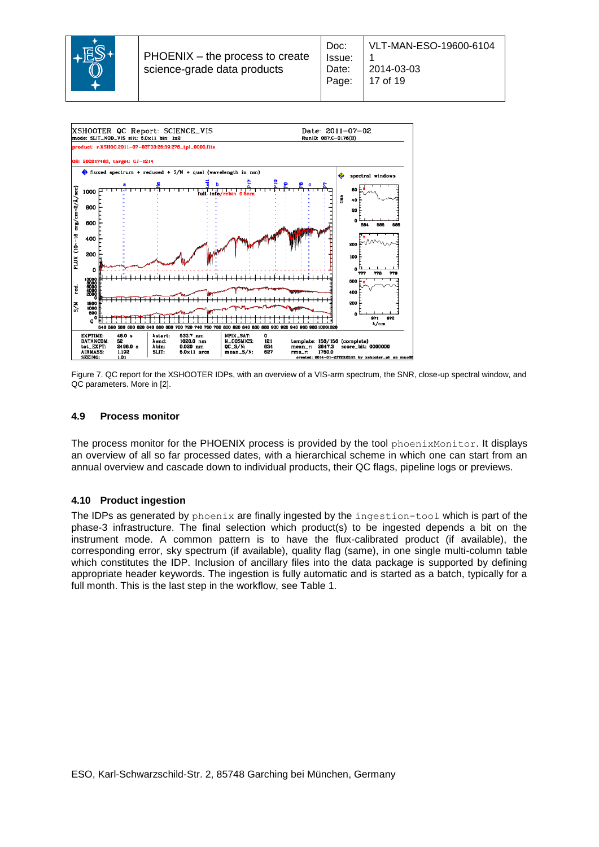



<span id="page-16-2"></span>Figure 7. QC report for the XSHOOTER IDPs, with an overview of a VIS-arm spectrum, the SNR, close-up spectral window, and QC parameters. More in [2].

#### <span id="page-16-0"></span>**4.9 Process monitor**

The process monitor for the PHOENIX process is provided by the tool phoenixMonitor. It displays an overview of all so far processed dates, with a hierarchical scheme in which one can start from an annual overview and cascade down to individual products, their QC flags, pipeline logs or previews.

#### <span id="page-16-1"></span>**4.10 Product ingestion**

The IDPs as generated by phoenix are finally ingested by the ingestion-tool which is part of the phase-3 infrastructure. The final selection which product(s) to be ingested depends a bit on the instrument mode. A common pattern is to have the flux-calibrated product (if available), the corresponding error, sky spectrum (if available), quality flag (same), in one single multi-column table which constitutes the IDP. Inclusion of ancillary files into the data package is supported by defining appropriate header keywords. The ingestion is fully automatic and is started as a batch, typically for a full month. This is the last step in the workflow, see [Table 1.](#page-9-0)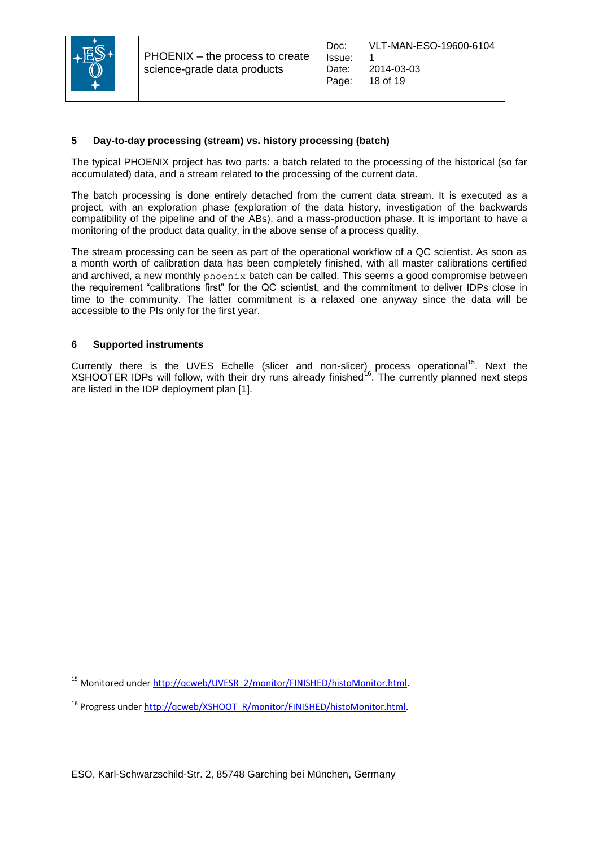

# <span id="page-17-0"></span>**5 Day-to-day processing (stream) vs. history processing (batch)**

The typical PHOENIX project has two parts: a batch related to the processing of the historical (so far accumulated) data, and a stream related to the processing of the current data.

The batch processing is done entirely detached from the current data stream. It is executed as a project, with an exploration phase (exploration of the data history, investigation of the backwards compatibility of the pipeline and of the ABs), and a mass-production phase. It is important to have a monitoring of the product data quality, in the above sense of a process quality.

The stream processing can be seen as part of the operational workflow of a QC scientist. As soon as a month worth of calibration data has been completely finished, with all master calibrations certified and archived, a new monthly phoenix batch can be called. This seems a good compromise between the requirement "calibrations first" for the QC scientist, and the commitment to deliver IDPs close in time to the community. The latter commitment is a relaxed one anyway since the data will be accessible to the PIs only for the first year.

#### <span id="page-17-1"></span>**6 Supported instruments**

l

Currently there is the UVES Echelle (slicer and non-slicer) process operational<sup>15</sup>. Next the  $XSHOOTER$  IDPs will follow, with their dry runs already finished<sup>16</sup>. The currently planned next steps are listed in the IDP deployment plan [1].

<sup>15</sup> Monitored under [http://qcweb/UVESR\\_2/monitor/FINISHED/histoMonitor.html.](http://qcweb/UVESR_2/monitor/FINISHED/histoMonitor.html)

<sup>&</sup>lt;sup>16</sup> Progress under [http://qcweb/XSHOOT\\_R/monitor/FINISHED/histoMonitor.html.](http://qcweb/XSHOOT_R/monitor/FINISHED/histoMonitor.html)